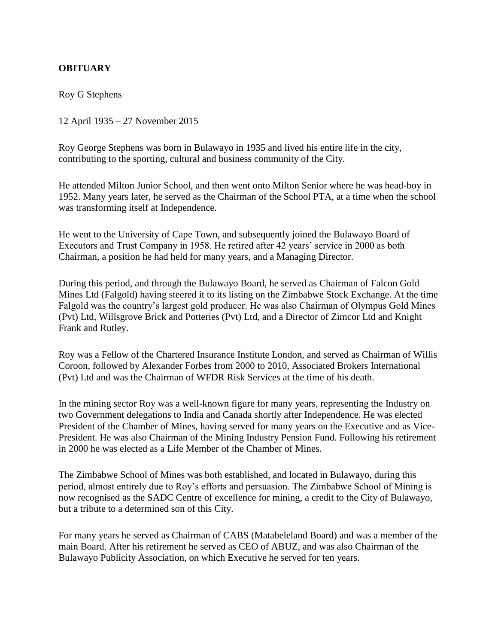## **OBITUARY**

Roy G Stephens

12 April 1935 – 27 November 2015

Roy George Stephens was born in Bulawayo in 1935 and lived his entire life in the city, contributing to the sporting, cultural and business community of the City.

He attended Milton Junior School, and then went onto Milton Senior where he was head-boy in 1952. Many years later, he served as the Chairman of the School PTA, at a time when the school was transforming itself at Independence.

He went to the University of Cape Town, and subsequently joined the Bulawayo Board of Executors and Trust Company in 1958. He retired after 42 years' service in 2000 as both Chairman, a position he had held for many years, and a Managing Director.

During this period, and through the Bulawayo Board, he served as Chairman of Falcon Gold Mines Ltd (Falgold) having steered it to its listing on the Zimbabwe Stock Exchange. At the time Falgold was the country's largest gold producer. He was also Chairman of Olympus Gold Mines (Pvt) Ltd, Willsgrove Brick and Potteries (Pvt) Ltd, and a Director of Zimcor Ltd and Knight Frank and Rutley.

Roy was a Fellow of the Chartered Insurance Institute London, and served as Chairman of Willis Coroon, followed by Alexander Forbes from 2000 to 2010, Associated Brokers International (Pvt) Ltd and was the Chairman of WFDR Risk Services at the time of his death.

In the mining sector Roy was a well-known figure for many years, representing the Industry on two Government delegations to India and Canada shortly after Independence. He was elected President of the Chamber of Mines, having served for many years on the Executive and as Vice-President. He was also Chairman of the Mining Industry Pension Fund. Following his retirement in 2000 he was elected as a Life Member of the Chamber of Mines.

The Zimbabwe School of Mines was both established, and located in Bulawayo, during this period, almost entirely due to Roy's efforts and persuasion. The Zimbabwe School of Mining is now recognised as the SADC Centre of excellence for mining, a credit to the City of Bulawayo, but a tribute to a determined son of this City.

For many years he served as Chairman of CABS (Matabeleland Board) and was a member of the main Board. After his retirement he served as CEO of ABUZ, and was also Chairman of the Bulawayo Publicity Association, on which Executive he served for ten years.